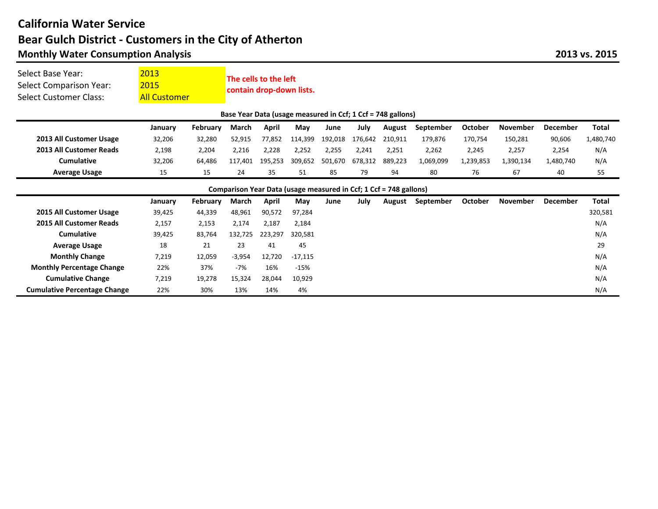## **California Water Service Monthly Water Consumption Analysis** Bear Gulch District - Customers in the City of Atherton

| Select Base Year:<br><b>Select Comparison Year:</b><br>Select Customer Class: | 2013<br>2015<br><b>All Customer</b> |          | The cells to the left<br>contain drop-down lists. |         |           |         |             |         |           |                |                 |                 |              |  |
|-------------------------------------------------------------------------------|-------------------------------------|----------|---------------------------------------------------|---------|-----------|---------|-------------|---------|-----------|----------------|-----------------|-----------------|--------------|--|
| Base Year Data (usage measured in Ccf; 1 Ccf = 748 gallons)                   |                                     |          |                                                   |         |           |         |             |         |           |                |                 |                 |              |  |
|                                                                               | January                             | February | March                                             | April   | May       | June    | <b>July</b> | August  | September | <b>October</b> | <b>November</b> | <b>December</b> | <b>Total</b> |  |
| 2013 All Customer Usage                                                       | 32,206                              | 32,280   | 52,915                                            | 77,852  | 114,399   | 192,018 | 176,642     | 210,911 | 179.876   | 170,754        | 150,281         | 90,606          | 1,480,740    |  |
| 2013 All Customer Reads                                                       | 2,198                               | 2,204    | 2,216                                             | 2,228   | 2,252     | 2,255   | 2,241       | 2,251   | 2,262     | 2,245          | 2,257           | 2,254           | N/A          |  |
| Cumulative                                                                    | 32,206                              | 64.486   | 117.401                                           | 195,253 | 309,652   | 501,670 | 678,312     | 889,223 | 1,069,099 | 1,239,853      | 1,390,134       | 1,480,740       | N/A          |  |
| <b>Average Usage</b>                                                          | 15                                  | 15       | 24                                                | 35      | 51        | 85      | 79          | 94      | 80        | 76             | 67              | 40              | 55           |  |
| Comparison Year Data (usage measured in Ccf; 1 Ccf = 748 gallons)             |                                     |          |                                                   |         |           |         |             |         |           |                |                 |                 |              |  |
|                                                                               | January                             | February | March                                             | April   | May       | June    | July        | August  | September | <b>October</b> | <b>November</b> | <b>December</b> | <b>Total</b> |  |
| 2015 All Customer Usage                                                       | 39,425                              | 44.339   | 48,961                                            | 90,572  | 97,284    |         |             |         |           |                |                 |                 | 320,581      |  |
| 2015 All Customer Reads                                                       | 2,157                               | 2,153    | 2,174                                             | 2,187   | 2,184     |         |             |         |           |                |                 |                 | N/A          |  |
| Cumulative                                                                    | 39,425                              | 83,764   | 132,725                                           | 223,297 | 320,581   |         |             |         |           |                |                 |                 | N/A          |  |
| <b>Average Usage</b>                                                          | 18                                  | 21       | 23                                                | 41      | 45        |         |             |         |           |                |                 |                 | 29           |  |
| <b>Monthly Change</b>                                                         | 7,219                               | 12,059   | $-3,954$                                          | 12,720  | $-17,115$ |         |             |         |           |                |                 |                 | N/A          |  |
| <b>Monthly Percentage Change</b>                                              | 22%                                 | 37%      | $-7%$                                             | 16%     | $-15%$    |         |             |         |           |                |                 |                 | N/A          |  |
| <b>Cumulative Change</b>                                                      | 7,219                               | 19,278   | 15,324                                            | 28,044  | 10,929    |         |             |         |           |                |                 |                 | N/A          |  |
|                                                                               |                                     |          |                                                   |         |           |         |             |         |           |                |                 |                 |              |  |